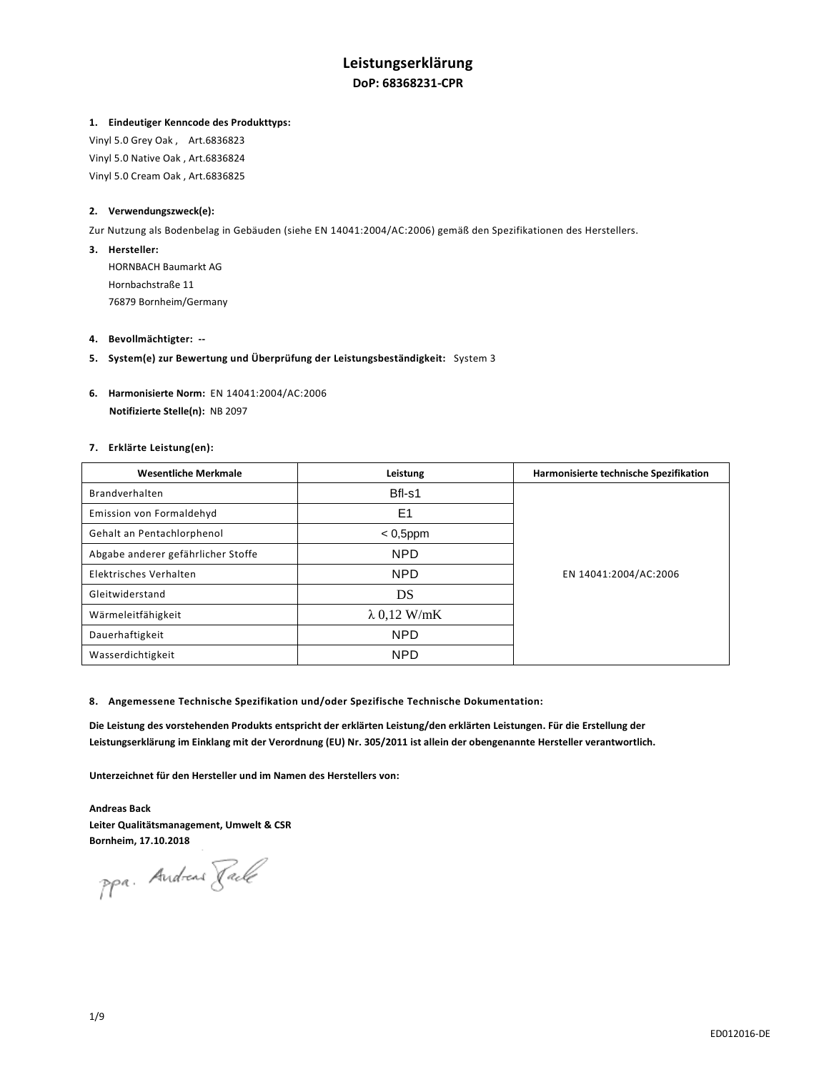# **Leistungserklärung DoP: 68368231-CPR**

## **1. Eindeutiger Kenncode des Produkttyps:**

Vinyl 5.0 Grey Oak , Art.6836823 Vinyl 5.0 Native Oak , Art.6836824 Vinyl 5.0 Cream Oak , Art.6836825

## **2. Verwendungszweck(e):**

Zur Nutzung als Bodenbelag in Gebäuden (siehe EN 14041:2004/AC:2006) gemäß den Spezifikationen des Herstellers.

## **3. Hersteller:**

HORNBACH Baumarkt AG Hornbachstraße 11 76879 Bornheim/Germany

### **4. Bevollmächtigter: --**

**5. System(e) zur Bewertung und Überprüfung der Leistungsbeständigkeit:** System 3

## **6. Harmonisierte Norm:** EN 14041:2004/AC:2006  **Notifizierte Stelle(n):** NB 2097

## **7. Erklärte Leistung(en):**

| <b>Wesentliche Merkmale</b>        | Leistung            | Harmonisierte technische Spezifikation |
|------------------------------------|---------------------|----------------------------------------|
| Brandverhalten                     | Bfl-s1              |                                        |
| Emission von Formaldehyd           | E <sub>1</sub>      |                                        |
| Gehalt an Pentachlorphenol         | $< 0,5$ ppm         | EN 14041:2004/AC:2006                  |
| Abgabe anderer gefährlicher Stoffe | <b>NPD</b>          |                                        |
| Elektrisches Verhalten             | <b>NPD</b>          |                                        |
| Gleitwiderstand                    | DS                  |                                        |
| Wärmeleitfähigkeit                 | $\lambda$ 0,12 W/mK |                                        |
| Dauerhaftigkeit                    | <b>NPD</b>          |                                        |
| Wasserdichtigkeit                  | <b>NPD</b>          |                                        |

### **8. Angemessene Technische Spezifikation und/oder Spezifische Technische Dokumentation:**

**Die Leistung des vorstehenden Produkts entspricht der erklärten Leistung/den erklärten Leistungen. Für die Erstellung der Leistungserklärung im Einklang mit der Verordnung (EU) Nr. 305/2011 ist allein der obengenannte Hersteller verantwortlich.** 

**Unterzeichnet für den Hersteller und im Namen des Herstellers von:** 

**Andreas Back Leiter Qualitätsmanagement, Umwelt & CSR Bornheim, 17.10.2018** 

ppa. Andreas Faile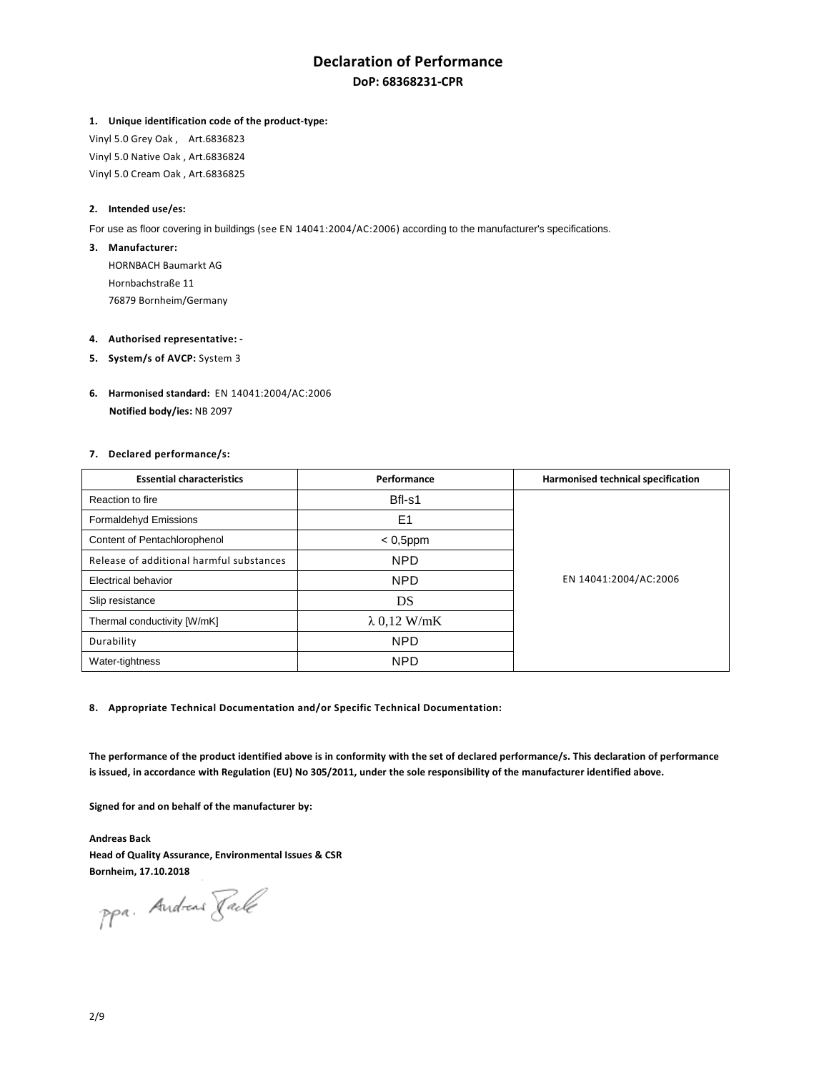# **Declaration of Performance DoP: 68368231-CPR**

### **1. Unique identification code of the product-type:**

Vinyl 5.0 Grey Oak , Art.6836823 Vinyl 5.0 Native Oak , Art.6836824 Vinyl 5.0 Cream Oak , Art.6836825

## **2. Intended use/es:**

For use as floor covering in buildings (see EN 14041:2004/AC:2006) according to the manufacturer's specifications.

#### **3. Manufacturer:**

HORNBACH Baumarkt AG Hornbachstraße 11 76879 Bornheim/Germany

#### **4. Authorised representative: -**

- **5.** System/s of AVCP: System 3
- **6. Harmonised standard:** EN 14041:2004/AC:2006  **Notified body/ies:** NB 2097

## **7. Declared performance/s:**

| <b>Essential characteristics</b>         | Performance         | Harmonised technical specification |
|------------------------------------------|---------------------|------------------------------------|
| Reaction to fire                         | Bfl-s1              |                                    |
| Formaldehyd Emissions                    | E <sub>1</sub>      |                                    |
| Content of Pentachlorophenol             | $< 0,5$ ppm         | EN 14041:2004/AC:2006              |
| Release of additional harmful substances | <b>NPD</b>          |                                    |
| <b>Electrical behavior</b>               | <b>NPD</b>          |                                    |
| Slip resistance                          | DS                  |                                    |
| Thermal conductivity [W/mK]              | $\lambda$ 0,12 W/mK |                                    |
| Durability                               | <b>NPD</b>          |                                    |
| Water-tightness                          | <b>NPD</b>          |                                    |

**8. Appropriate Technical Documentation and/or Specific Technical Documentation:** 

**The performance of the product identified above is in conformity with the set of declared performance/s. This declaration of performance is issued, in accordance with Regulation (EU) No 305/2011, under the sole responsibility of the manufacturer identified above.** 

**Signed for and on behalf of the manufacturer by:** 

**Andreas Back Head of Quality Assurance, Environmental Issues & CSR Bornheim, 17.10.2018** 

ppa. Andreas Rack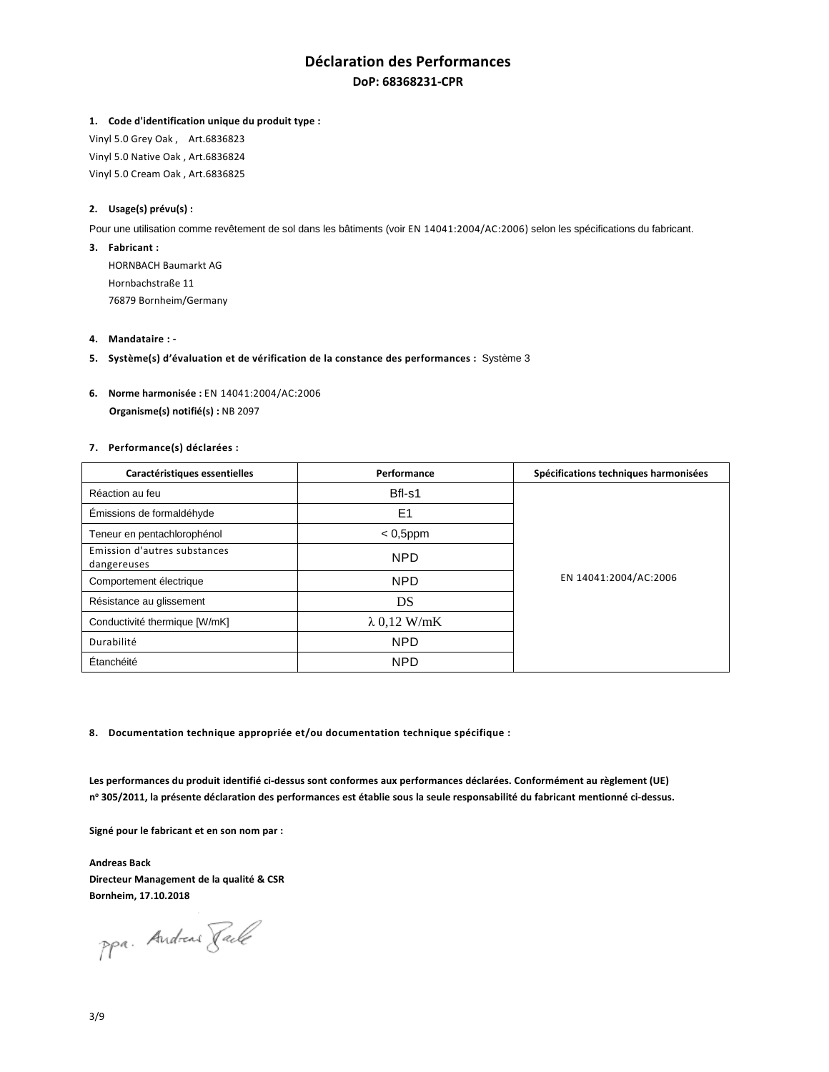## **Déclaration des Performances DoP: 68368231-CPR**

#### **1. Code d'identification unique du produit type :**

Vinyl 5.0 Grey Oak , Art.6836823 Vinyl 5.0 Native Oak , Art.6836824 Vinyl 5.0 Cream Oak , Art.6836825

## **2. Usage(s) prévu(s) :**

Pour une utilisation comme revêtement de sol dans les bâtiments (voir EN 14041:2004/AC:2006) selon les spécifications du fabricant.

**3. Fabricant :** 

HORNBACH Baumarkt AG Hornbachstraße 11 76879 Bornheim/Germany

- **4. Mandataire :**
- **5. Système(s) d'évaluation et de vérification de la constance des performances :** Système 3
- **6. Norme harmonisée :** EN 14041:2004/AC:2006  **Organisme(s) notifié(s) :** NB 2097

### **7. Performance(s) déclarées :**

| Caractéristiques essentielles               | Performance         | Spécifications techniques harmonisées |
|---------------------------------------------|---------------------|---------------------------------------|
| Réaction au feu                             | Bfl-s1              | EN 14041:2004/AC:2006                 |
| Émissions de formaldéhyde                   | E <sub>1</sub>      |                                       |
| Teneur en pentachlorophénol                 | $< 0,5$ ppm         |                                       |
| Emission d'autres substances<br>dangereuses | <b>NPD</b>          |                                       |
| Comportement électrique                     | <b>NPD</b>          |                                       |
| Résistance au glissement                    | DS                  |                                       |
| Conductivité thermique [W/mK]               | $\lambda$ 0,12 W/mK |                                       |
| Durabilité                                  | <b>NPD</b>          |                                       |
| Étanchéité                                  | <b>NPD</b>          |                                       |

**8. Documentation technique appropriée et/ou documentation technique spécifique :** 

**Les performances du produit identifié ci-dessus sont conformes aux performances déclarées. Conformément au règlement (UE) n o 305/2011, la présente déclaration des performances est établie sous la seule responsabilité du fabricant mentionné ci-dessus.** 

**Signé pour le fabricant et en son nom par :** 

**Andreas Back Directeur Management de la qualité & CSR Bornheim, 17.10.2018** 

ppa. Andreas Faile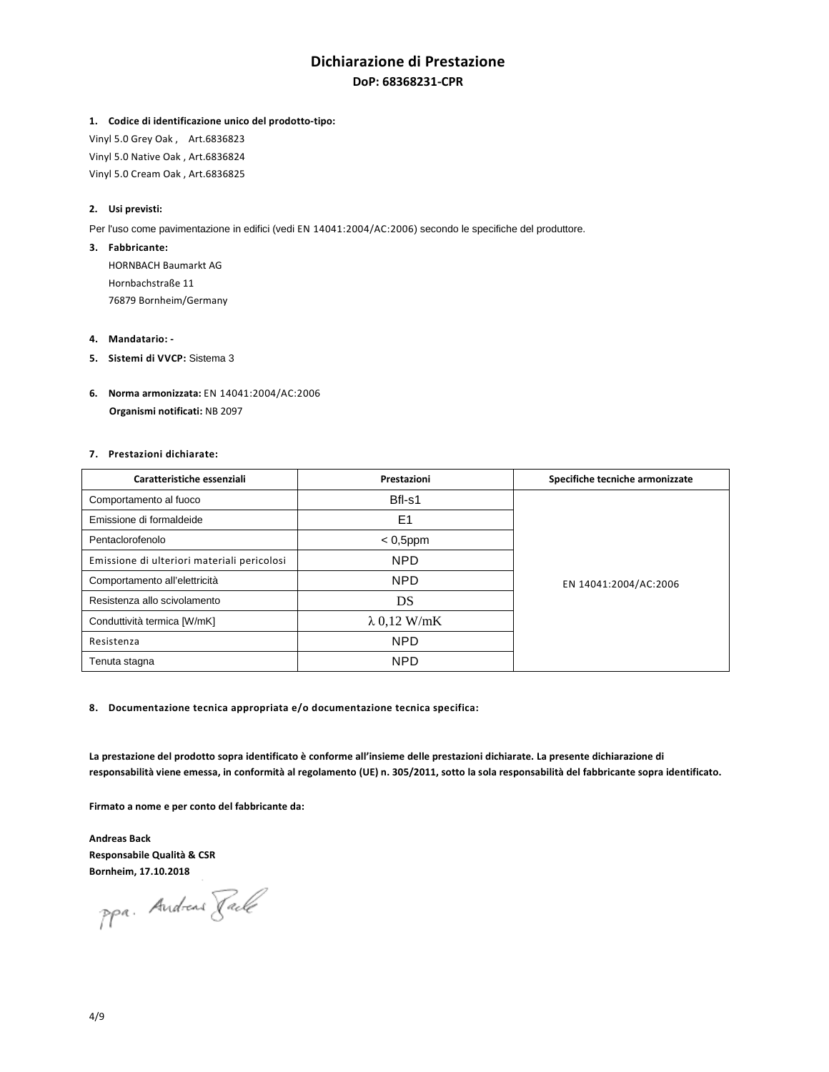# **Dichiarazione di Prestazione DoP: 68368231-CPR**

## **1. Codice di identificazione unico del prodotto-tipo:**

Vinyl 5.0 Grey Oak , Art.6836823 Vinyl 5.0 Native Oak , Art.6836824 Vinyl 5.0 Cream Oak , Art.6836825

## **2. Usi previsti:**

Per l'uso come pavimentazione in edifici (vedi EN 14041:2004/AC:2006) secondo le specifiche del produttore.

## **3. Fabbricante:**

HORNBACH Baumarkt AG Hornbachstraße 11 76879 Bornheim/Germany

## **4. Mandatario: -**

- **5. Sistemi di VVCP:** Sistema 3
- **6. Norma armonizzata:** EN 14041:2004/AC:2006  **Organismi notificati:** NB 2097

## **7. Prestazioni dichiarate:**

| Caratteristiche essenziali                  | Prestazioni         | Specifiche tecniche armonizzate |
|---------------------------------------------|---------------------|---------------------------------|
| Comportamento al fuoco                      | Bfl-s1              | EN 14041:2004/AC:2006           |
| Emissione di formaldeide                    | E1                  |                                 |
| Pentaclorofenolo                            | $< 0,5$ ppm         |                                 |
| Emissione di ulteriori materiali pericolosi | <b>NPD</b>          |                                 |
| Comportamento all'elettricità               | <b>NPD</b>          |                                 |
| Resistenza allo scivolamento                | DS                  |                                 |
| Conduttività termica [W/mK]                 | $\lambda$ 0.12 W/mK |                                 |
| Resistenza                                  | <b>NPD</b>          |                                 |
| Tenuta stagna                               | <b>NPD</b>          |                                 |

## **8. Documentazione tecnica appropriata e/o documentazione tecnica specifica:**

**La prestazione del prodotto sopra identificato è conforme all'insieme delle prestazioni dichiarate. La presente dichiarazione di responsabilità viene emessa, in conformità al regolamento (UE) n. 305/2011, sotto la sola responsabilità del fabbricante sopra identificato.** 

**Firmato a nome e per conto del fabbricante da:** 

**Andreas Back Responsabile Qualità & CSR Bornheim, 17.10.2018** 

ppa. Andreas Rack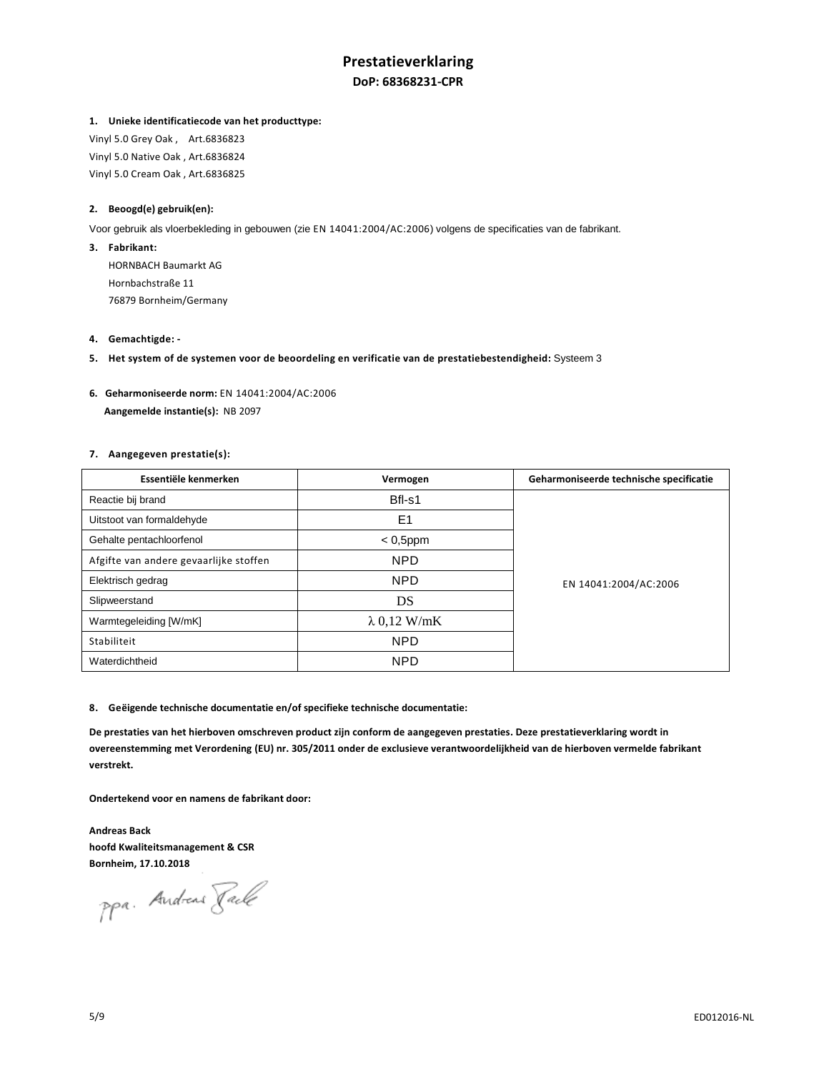# **Prestatieverklaring DoP: 68368231-CPR**

## **1. Unieke identificatiecode van het producttype:**

Vinyl 5.0 Grey Oak , Art.6836823 Vinyl 5.0 Native Oak , Art.6836824 Vinyl 5.0 Cream Oak , Art.6836825

## **2. Beoogd(e) gebruik(en):**

Voor gebruik als vloerbekleding in gebouwen (zie EN 14041:2004/AC:2006) volgens de specificaties van de fabrikant.

**3. Fabrikant:** 

HORNBACH Baumarkt AG Hornbachstraße 11 76879 Bornheim/Germany

- **4. Gemachtigde:**
- **5. Het system of de systemen voor de beoordeling en verificatie van de prestatiebestendigheid:** Systeem 3
- **6. Geharmoniseerde norm:** EN 14041:2004/AC:2006  **Aangemelde instantie(s):** NB 2097

## **7. Aangegeven prestatie(s):**

| Essentiële kenmerken                   | Vermogen            | Geharmoniseerde technische specificatie |
|----------------------------------------|---------------------|-----------------------------------------|
| Reactie bij brand                      | Bfl-s1              | EN 14041:2004/AC:2006                   |
| Uitstoot van formaldehyde              | E1                  |                                         |
| Gehalte pentachloorfenol               | $< 0,5$ ppm         |                                         |
| Afgifte van andere gevaarlijke stoffen | <b>NPD</b>          |                                         |
| Elektrisch gedrag                      | <b>NPD</b>          |                                         |
| Slipweerstand                          | DS                  |                                         |
| Warmtegeleiding [W/mK]                 | $\lambda$ 0,12 W/mK |                                         |
| Stabiliteit                            | <b>NPD</b>          |                                         |
| Waterdichtheid                         | <b>NPD</b>          |                                         |

### **8. Geëigende technische documentatie en/of specifieke technische documentatie:**

**De prestaties van het hierboven omschreven product zijn conform de aangegeven prestaties. Deze prestatieverklaring wordt in overeenstemming met Verordening (EU) nr. 305/2011 onder de exclusieve verantwoordelijkheid van de hierboven vermelde fabrikant verstrekt.** 

**Ondertekend voor en namens de fabrikant door:** 

**Andreas Back hoofd Kwaliteitsmanagement & CSR Bornheim, 17.10.2018** 

ppa. Andreas Jack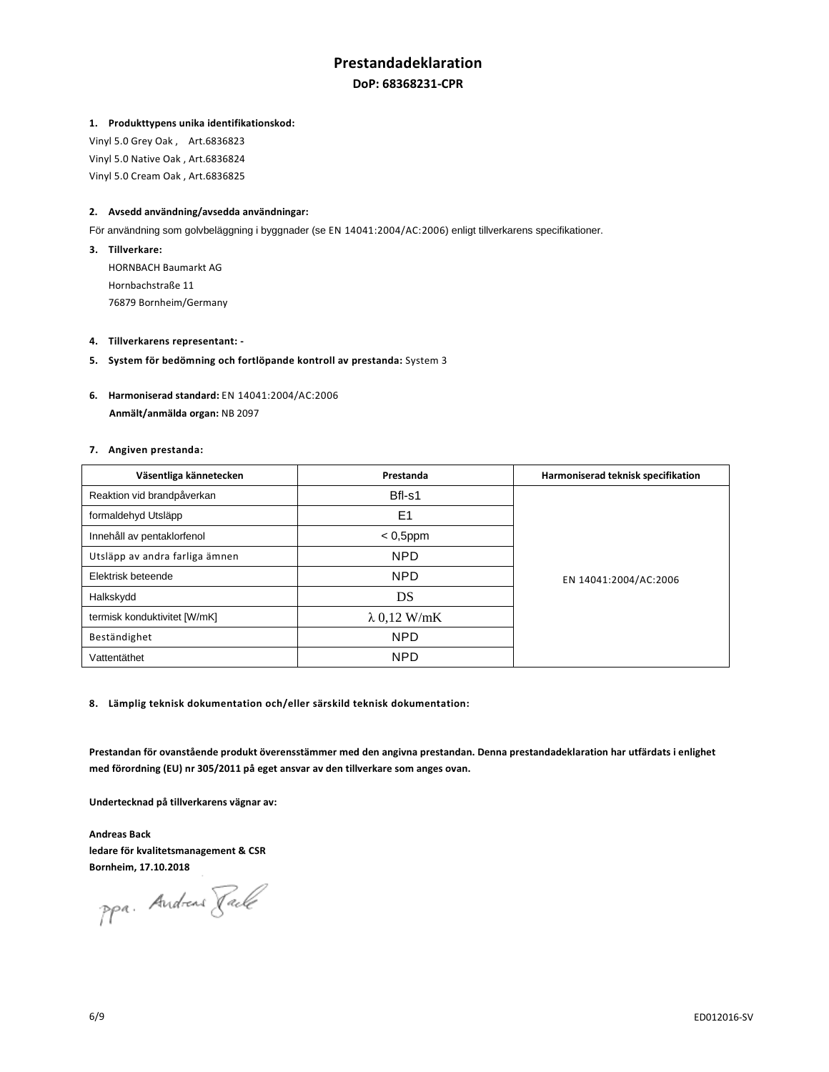## **Prestandadeklaration DoP: 68368231-CPR**

## **1. Produkttypens unika identifikationskod:**

Vinyl 5.0 Grey Oak , Art.6836823 Vinyl 5.0 Native Oak , Art.6836824 Vinyl 5.0 Cream Oak , Art.6836825

## **2. Avsedd användning/avsedda användningar:**

För användning som golvbeläggning i byggnader (se EN 14041:2004/AC:2006) enligt tillverkarens specifikationer.

- **3. Tillverkare:**  HORNBACH Baumarkt AG Hornbachstraße 11 76879 Bornheim/Germany
- **4. Tillverkarens representant:**
- **5. System för bedömning och fortlöpande kontroll av prestanda:** System 3
- **6. Harmoniserad standard:** EN 14041:2004/AC:2006  **Anmält/anmälda organ:** NB 2097

#### **7. Angiven prestanda:**

| Väsentliga kännetecken         | Prestanda           | Harmoniserad teknisk specifikation |
|--------------------------------|---------------------|------------------------------------|
| Reaktion vid brandpåverkan     | Bfl-s1              | EN 14041:2004/AC:2006              |
| formaldehyd Utsläpp            | E <sub>1</sub>      |                                    |
| Innehåll av pentaklorfenol     | $< 0,5$ ppm         |                                    |
| Utsläpp av andra farliga ämnen | <b>NPD</b>          |                                    |
| Elektrisk beteende             | <b>NPD</b>          |                                    |
| Halkskydd                      | DS                  |                                    |
| termisk konduktivitet [W/mK]   | $\lambda$ 0,12 W/mK |                                    |
| Beständighet                   | <b>NPD</b>          |                                    |
| Vattentäthet                   | <b>NPD</b>          |                                    |

**8. Lämplig teknisk dokumentation och/eller särskild teknisk dokumentation:** 

**Prestandan för ovanstående produkt överensstämmer med den angivna prestandan. Denna prestandadeklaration har utfärdats i enlighet med förordning (EU) nr 305/2011 på eget ansvar av den tillverkare som anges ovan.** 

**Undertecknad på tillverkarens vägnar av:** 

**Andreas Back ledare för kvalitetsmanagement & CSR Bornheim, 17.10.2018** 

ppa. Andreas Faile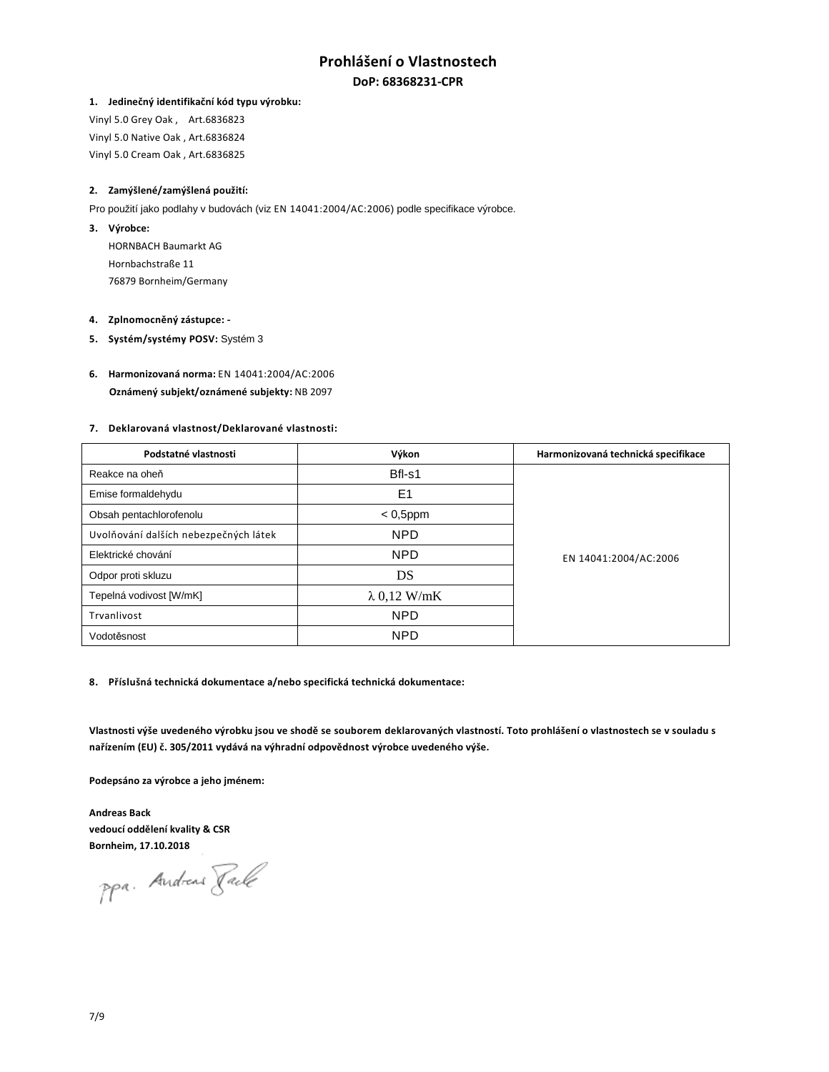## **Prohlášení o Vlastnostech DoP: 68368231-CPR**

#### **1. Jedinečný identifikační kód typu výrobku:**

Vinyl 5.0 Grey Oak , Art.6836823 Vinyl 5.0 Native Oak , Art.6836824 Vinyl 5.0 Cream Oak , Art.6836825

### **2. Zamýšlené/zamýšlená použití:**

Pro použití jako podlahy v budovách (viz EN 14041:2004/AC:2006) podle specifikace výrobce.

**3. Výrobce:** 

HORNBACH Baumarkt AG Hornbachstraße 11 76879 Bornheim/Germany

#### **4. Zplnomocněný zástupce: -**

**5. Systém/systémy POSV:** Systém 3

## **6. Harmonizovaná norma:** EN 14041:2004/AC:2006  **Oznámený subjekt/oznámené subjekty:** NB 2097

#### **7. Deklarovaná vlastnost/Deklarované vlastnosti:**

| Podstatné vlastnosti                  | Výkon               | Harmonizovaná technická specifikace |
|---------------------------------------|---------------------|-------------------------------------|
| Reakce na oheň                        | Bfl-s1              | EN 14041:2004/AC:2006               |
| Emise formaldehydu                    | E <sub>1</sub>      |                                     |
| Obsah pentachlorofenolu               | $< 0,5$ ppm         |                                     |
| Uvolňování dalších nebezpečných látek | <b>NPD</b>          |                                     |
| Elektrické chování                    | <b>NPD</b>          |                                     |
| Odpor proti skluzu                    | DS                  |                                     |
| Tepelná vodivost [W/mK]               | $\lambda$ 0,12 W/mK |                                     |
| Trvanlivost                           | <b>NPD</b>          |                                     |
| Vodotěsnost                           | <b>NPD</b>          |                                     |

**8. Příslušná technická dokumentace a/nebo specifická technická dokumentace:** 

**Vlastnosti výše uvedeného výrobku jsou ve shodě se souborem deklarovaných vlastností. Toto prohlášení o vlastnostech se v souladu s nařízením (EU) č. 305/2011 vydává na výhradní odpovědnost výrobce uvedeného výše.** 

**Podepsáno za výrobce a jeho jménem:** 

**Andreas Back vedoucí oddělení kvality & CSR Bornheim, 17.10.2018** 

ppa. Andreas Faile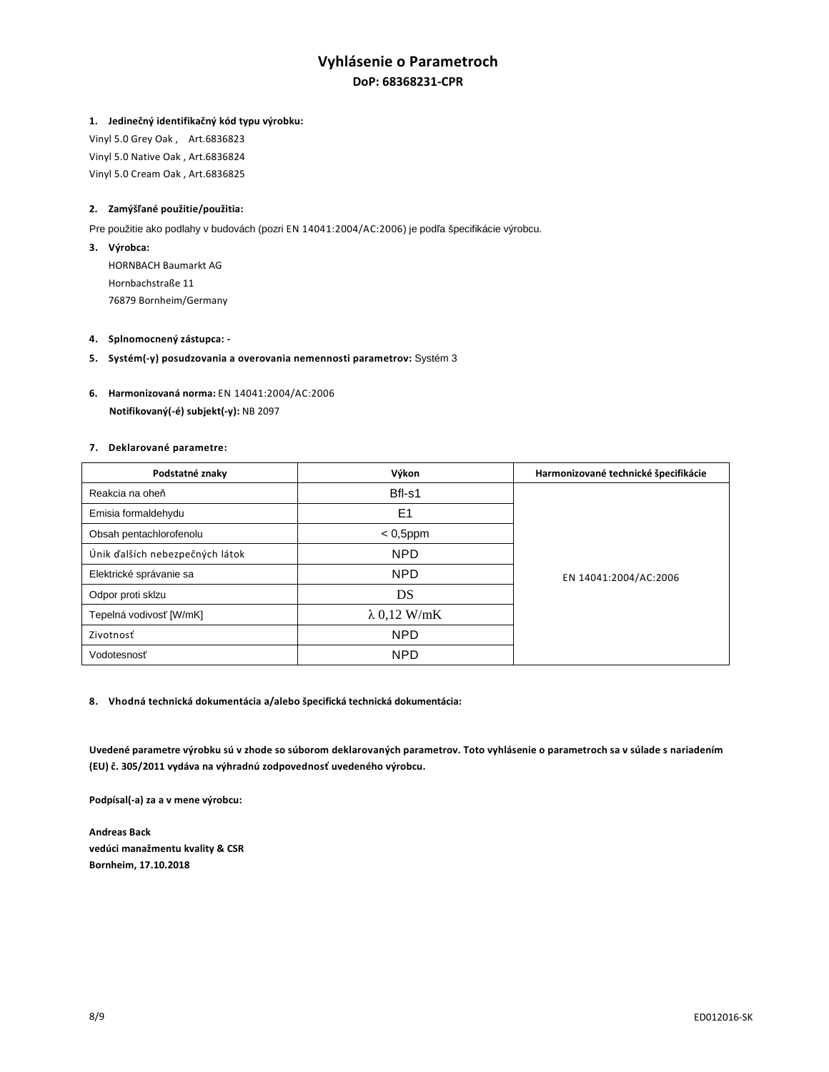# **Vyhlásenie o Parametroch DoP: 68368231-CPR**

## **1. Jedinečný identifikačný kód typu výrobku:**

Vinyl 5.0 Grey Oak , Art.6836823 Vinyl 5.0 Native Oak , Art.6836824 Vinyl 5.0 Cream Oak , Art.6836825

## **2. Zamýšľané použitie/použitia:**

Pre použitie ako podlahy v budovách (pozri EN 14041:2004/AC:2006) je podľa špecifikácie výrobcu.

**3. Výrobca:** 

HORNBACH Baumarkt AG Hornbachstraße 11 76879 Bornheim/Germany

### **4. Splnomocnený zástupca: -**

- **5. Systém(-y) posudzovania a overovania nemennosti parametrov:** Systém 3
- **6. Harmonizovaná norma:** EN 14041:2004/AC:2006  **Notifikovaný(-é) subjekt(-y):** NB 2097

## **7. Deklarované parametre:**

| Podstatné znaky                 | Výkon               | Harmonizované technické špecifikácie |
|---------------------------------|---------------------|--------------------------------------|
| Reakcia na oheň                 | Bfl-s1              | EN 14041:2004/AC:2006                |
| Emisia formaldehydu             | E <sub>1</sub>      |                                      |
| Obsah pentachlorofenolu         | $< 0.5$ ppm         |                                      |
| Únik ďalších nebezpečných látok | <b>NPD</b>          |                                      |
| Elektrické správanie sa         | <b>NPD</b>          |                                      |
| Odpor proti sklzu               | DS                  |                                      |
| Tepelná vodivosť [W/mK]         | $\lambda$ 0,12 W/mK |                                      |
| Zivotnosť                       | <b>NPD</b>          |                                      |
| Vodotesnosť                     | <b>NPD</b>          |                                      |

**8. Vhodná technická dokumentácia a/alebo špecifická technická dokumentácia:** 

**Uvedené parametre výrobku sú v zhode so súborom deklarovaných parametrov. Toto vyhlásenie o parametroch sa v súlade s nariadením (EU) č. 305/2011 vydáva na výhradnú zodpovednosť uvedeného výrobcu.** 

**Podpísal(-a) za a v mene výrobcu:** 

**Andreas Back vedúci manažmentu kvality & CSR Bornheim, 17.10.2018**